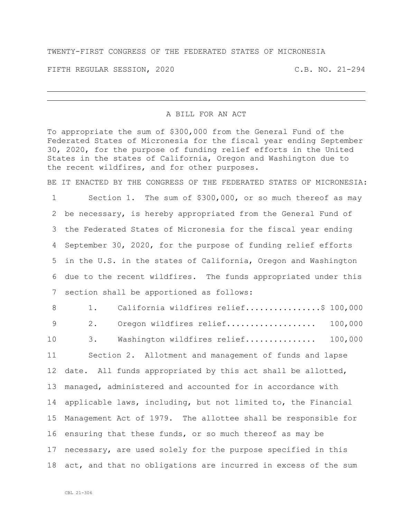## TWENTY-FIRST CONGRESS OF THE FEDERATED STATES OF MICRONESIA

FIFTH REGULAR SESSION, 2020 C.B. NO. 21-294

## A BILL FOR AN ACT

To appropriate the sum of \$300,000 from the General Fund of the Federated States of Micronesia for the fiscal year ending September 30, 2020, for the purpose of funding relief efforts in the United States in the states of California, Oregon and Washington due to the recent wildfires, and for other purposes.

BE IT ENACTED BY THE CONGRESS OF THE FEDERATED STATES OF MICRONESIA:

 Section 1. The sum of \$300,000, or so much thereof as may be necessary, is hereby appropriated from the General Fund of the Federated States of Micronesia for the fiscal year ending September 30, 2020, for the purpose of funding relief efforts in the U.S. in the states of California, Oregon and Washington due to the recent wildfires. The funds appropriated under this section shall be apportioned as follows:

8 1. California wildfires relief.................\$ 100,000 2. Oregon wildfires relief................... 100,000 3. Washington wildfires relief............... 100,000 Section 2. Allotment and management of funds and lapse date. All funds appropriated by this act shall be allotted, managed, administered and accounted for in accordance with applicable laws, including, but not limited to, the Financial Management Act of 1979. The allottee shall be responsible for ensuring that these funds, or so much thereof as may be necessary, are used solely for the purpose specified in this act, and that no obligations are incurred in excess of the sum